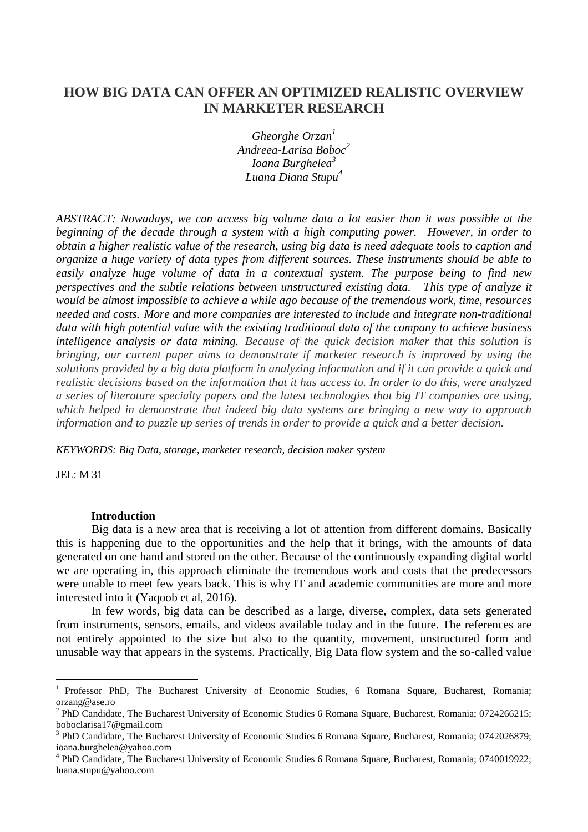# **HOW BIG DATA CAN OFFER AN OPTIMIZED REALISTIC OVERVIEW IN MARKETER RESEARCH**

*Gheorghe Orzan<sup>1</sup> Andreea-Larisa Boboc<sup>2</sup> Ioana Burghelea<sup>3</sup> Luana Diana Stupu<sup>4</sup>*

*ABSTRACT: Nowadays, we can access big volume data a lot easier than it was possible at the beginning of the decade through a system with a high computing power. However, in order to obtain a higher realistic value of the research, using big data is need adequate tools to caption and organize a huge variety of data types from different sources. These instruments should be able to easily analyze huge volume of data in a contextual system. The purpose being to find new perspectives and the subtle relations between unstructured existing data. This type of analyze it would be almost impossible to achieve a while ago because of the tremendous work, time, resources needed and costs. More and more companies are interested to include and integrate non-traditional data with high potential value with the existing traditional data of the company to achieve business intelligence analysis or data mining. Because of the quick decision maker that this solution is bringing, our current paper aims to demonstrate if marketer research is improved by using the solutions provided by a big data platform in analyzing information and if it can provide a quick and realistic decisions based on the information that it has access to. In order to do this, were analyzed a series of literature specialty papers and the latest technologies that big IT companies are using, which helped in demonstrate that indeed big data systems are bringing a new way to approach information and to puzzle up series of trends in order to provide a quick and a better decision.*

*KEYWORDS: Big Data, storage, marketer research, decision maker system*

JEL: M 31

 $\overline{\phantom{a}}$ 

#### **Introduction**

Big data is a new area that is receiving a lot of attention from different domains. Basically this is happening due to the opportunities and the help that it brings, with the amounts of data generated on one hand and stored on the other. Because of the continuously expanding digital world we are operating in, this approach eliminate the tremendous work and costs that the predecessors were unable to meet few years back. This is why IT and academic communities are more and more interested into it (Yaqoob et al, 2016).

In few words, big data can be described as a large, diverse, complex, data sets generated from instruments, sensors, emails, and videos available today and in the future. The references are not entirely appointed to the size but also to the quantity, movement, unstructured form and unusable way that appears in the systems. Practically, Big Data flow system and the so-called value

<sup>&</sup>lt;sup>1</sup> Professor PhD, The Bucharest University of Economic Studies, 6 Romana Square, Bucharest, Romania; orzang@ase.ro

<sup>&</sup>lt;sup>2</sup> PhD Candidate, The Bucharest University of Economic Studies 6 Romana Square, Bucharest, Romania; 0724266215; boboclarisa17@gmail.com

<sup>&</sup>lt;sup>3</sup> PhD Candidate, The Bucharest University of Economic Studies 6 Romana Square, Bucharest, Romania; 0742026879; ioana.burghelea@yahoo.com

<sup>&</sup>lt;sup>4</sup> PhD Candidate, The Bucharest University of Economic Studies 6 Romana Square, Bucharest, Romania; 0740019922; luana.stupu@yahoo.com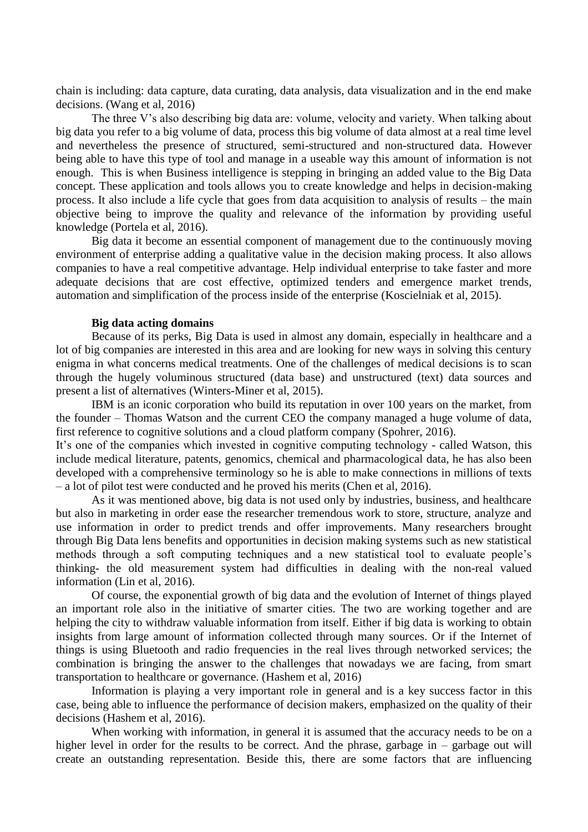chain is including: data capture, data curating, data analysis, data visualization and in the end make decisions. (Wang et al, 2016)

The three V's also describing big data are: volume, velocity and variety. When talking about big data you refer to a big volume of data, process this big volume of data almost at a real time level and nevertheless the presence of structured, semi-structured and non-structured data. However being able to have this type of tool and manage in a useable way this amount of information is not enough. This is when Business intelligence is stepping in bringing an added value to the Big Data concept. These application and tools allows you to create knowledge and helps in decision-making process. It also include a life cycle that goes from data acquisition to analysis of results – the main objective being to improve the quality and relevance of the information by providing useful knowledge (Portela et al, 2016).

Big data it become an essential component of management due to the continuously moving environment of enterprise adding a qualitative value in the decision making process. It also allows companies to have a real competitive advantage. Help individual enterprise to take faster and more adequate decisions that are cost effective, optimized tenders and emergence market trends, automation and simplification of the process inside of the enterprise (Koscielniak et al, 2015).

#### **Big data acting domains**

Because of its perks, Big Data is used in almost any domain, especially in healthcare and a lot of big companies are interested in this area and are looking for new ways in solving this century enigma in what concerns medical treatments. One of the challenges of medical decisions is to scan through the hugely voluminous structured (data base) and unstructured (text) data sources and present a list of alternatives (Winters-Miner et al, 2015).

IBM is an iconic corporation who build its reputation in over 100 years on the market, from the founder – Thomas Watson and the current CEO the company managed a huge volume of data, first reference to cognitive solutions and a cloud platform company (Spohrer, 2016).

It's one of the companies which invested in cognitive computing technology - called Watson, this include medical literature, patents, genomics, chemical and pharmacological data, he has also been developed with a comprehensive terminology so he is able to make connections in millions of texts – a lot of pilot test were conducted and he proved his merits (Chen et al, 2016).

As it was mentioned above, big data is not used only by industries, business, and healthcare but also in marketing in order ease the researcher tremendous work to store, structure, analyze and use information in order to predict trends and offer improvements. Many researchers brought through Big Data lens benefits and opportunities in decision making systems such as new statistical methods through a soft computing techniques and a new statistical tool to evaluate people's thinking- the old measurement system had difficulties in dealing with the non-real valued information (Lin et al, 2016).

Of course, the exponential growth of big data and the evolution of Internet of things played an important role also in the initiative of smarter cities. The two are working together and are helping the city to withdraw valuable information from itself. Either if big data is working to obtain insights from large amount of information collected through many sources. Or if the Internet of things is using Bluetooth and radio frequencies in the real lives through networked services; the combination is bringing the answer to the challenges that nowadays we are facing, from smart transportation to healthcare or governance. (Hashem et al, 2016)

Information is playing a very important role in general and is a key success factor in this case, being able to influence the performance of decision makers, emphasized on the quality of their decisions (Hashem et al, 2016).

When working with information, in general it is assumed that the accuracy needs to be on a higher level in order for the results to be correct. And the phrase, garbage in – garbage out will create an outstanding representation. Beside this, there are some factors that are influencing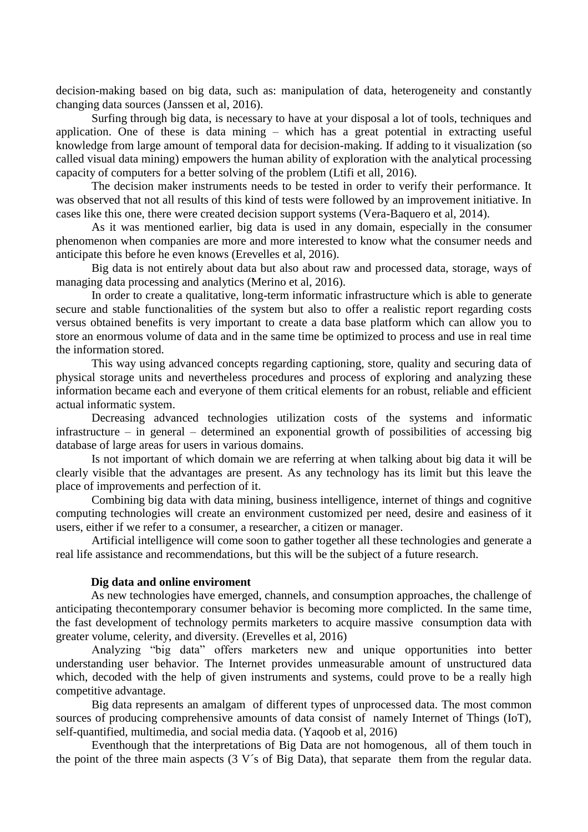decision-making based on big data, such as: manipulation of data, heterogeneity and constantly changing data sources (Janssen et al, 2016).

Surfing through big data, is necessary to have at your disposal a lot of tools, techniques and application. One of these is data mining – which has a great potential in extracting useful knowledge from large amount of temporal data for decision-making. If adding to it visualization (so called visual data mining) empowers the human ability of exploration with the analytical processing capacity of computers for a better solving of the problem (Ltifi et all, 2016).

The decision maker instruments needs to be tested in order to verify their performance. It was observed that not all results of this kind of tests were followed by an improvement initiative. In cases like this one, there were created decision support systems (Vera-Baquero et al, 2014).

As it was mentioned earlier, big data is used in any domain, especially in the consumer phenomenon when companies are more and more interested to know what the consumer needs and anticipate this before he even knows (Erevelles et al, 2016).

Big data is not entirely about data but also about raw and processed data, storage, ways of managing data processing and analytics (Merino et al, 2016).

In order to create a qualitative, long-term informatic infrastructure which is able to generate secure and stable functionalities of the system but also to offer a realistic report regarding costs versus obtained benefits is very important to create a data base platform which can allow you to store an enormous volume of data and in the same time be optimized to process and use in real time the information stored.

This way using advanced concepts regarding captioning, store, quality and securing data of physical storage units and nevertheless procedures and process of exploring and analyzing these information became each and everyone of them critical elements for an robust, reliable and efficient actual informatic system.

Decreasing advanced technologies utilization costs of the systems and informatic infrastructure – in general – determined an exponential growth of possibilities of accessing big database of large areas for users in various domains.

Is not important of which domain we are referring at when talking about big data it will be clearly visible that the advantages are present. As any technology has its limit but this leave the place of improvements and perfection of it.

Combining big data with data mining, business intelligence, internet of things and cognitive computing technologies will create an environment customized per need, desire and easiness of it users, either if we refer to a consumer, a researcher, a citizen or manager.

Artificial intelligence will come soon to gather together all these technologies and generate a real life assistance and recommendations, but this will be the subject of a future research.

#### **Dig data and online enviroment**

As new technologies have emerged, channels, and consumption approaches, the challenge of anticipating thecontemporary consumer behavior is becoming more complicted. In the same time, the fast development of technology permits marketers to acquire massive consumption data with greater volume, celerity, and diversity. (Erevelles et al, 2016)

Analyzing "big data" offers marketers new and unique opportunities into better understanding user behavior. The Internet provides unmeasurable amount of unstructured data which, decoded with the help of given instruments and systems, could prove to be a really high competitive advantage.

Big data represents an amalgam of different types of unprocessed data. The most common sources of producing comprehensive amounts of data consist of namely Internet of Things (IoT), self-quantified, multimedia, and social media data. (Yaqoob et al, 2016)

Eventhough that the interpretations of Big Data are not homogenous, all of them touch in the point of the three main aspects (3 V´s of Big Data), that separate them from the regular data.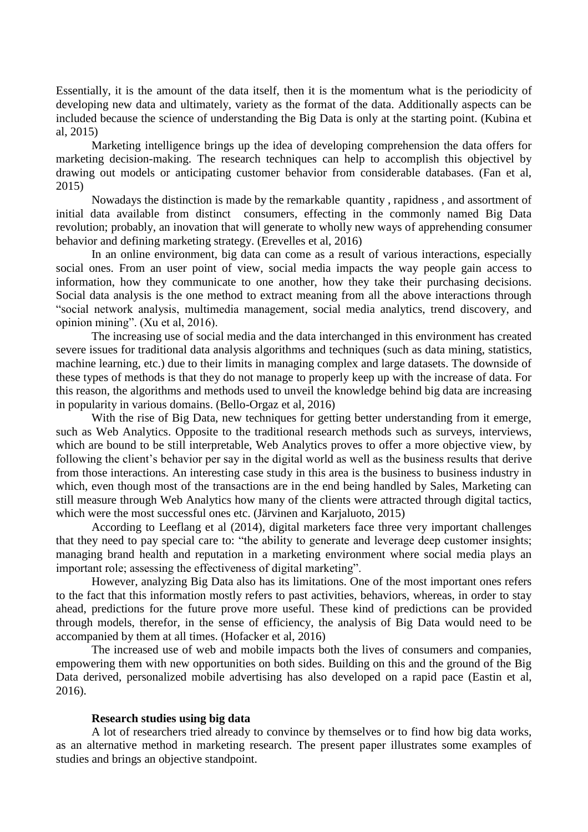Essentially, it is the amount of the data itself, then it is the momentum what is the periodicity of developing new data and ultimately, variety as the format of the data. Additionally aspects can be included because the science of understanding the Big Data is only at the starting point. (Kubina et al, 2015)

Marketing intelligence brings up the idea of developing comprehension the data offers for marketing decision-making. The research techniques can help to accomplish this objectivel by drawing out models or anticipating customer behavior from considerable databases. (Fan et al, 2015)

Nowadays the distinction is made by the remarkable quantity , rapidness , and assortment of initial data available from distinct consumers, effecting in the commonly named Big Data revolution; probably, an inovation that will generate to wholly new ways of apprehending consumer behavior and defining marketing strategy. (Erevelles et al, 2016)

In an online environment, big data can come as a result of various interactions, especially social ones. From an user point of view, social media impacts the way people gain access to information, how they communicate to one another, how they take their purchasing decisions. Social data analysis is the one method to extract meaning from all the above interactions through "social network analysis, multimedia management, social media analytics, trend discovery, and opinion mining". (Xu et al, 2016).

The increasing use of social media and the data interchanged in this environment has created severe issues for traditional data analysis algorithms and techniques (such as data mining, statistics, machine learning, etc.) due to their limits in managing complex and large datasets. The downside of these types of methods is that they do not manage to properly keep up with the increase of data. For this reason, the algorithms and methods used to unveil the knowledge behind big data are increasing in popularity in various domains. (Bello-Orgaz et al, 2016)

With the rise of Big Data, new techniques for getting better understanding from it emerge, such as Web Analytics. Opposite to the traditional research methods such as surveys, interviews, which are bound to be still interpretable, Web Analytics proves to offer a more objective view, by following the client's behavior per say in the digital world as well as the business results that derive from those interactions. An interesting case study in this area is the business to business industry in which, even though most of the transactions are in the end being handled by Sales, Marketing can still measure through Web Analytics how many of the clients were attracted through digital tactics, which were the most successful ones etc. (Järvinen and Karjaluoto, 2015)

According to Leeflang et al (2014), digital marketers face three very important challenges that they need to pay special care to: "the ability to generate and leverage deep customer insights; managing brand health and reputation in a marketing environment where social media plays an important role; assessing the effectiveness of digital marketing".

However, analyzing Big Data also has its limitations. One of the most important ones refers to the fact that this information mostly refers to past activities, behaviors, whereas, in order to stay ahead, predictions for the future prove more useful. These kind of predictions can be provided through models, therefor, in the sense of efficiency, the analysis of Big Data would need to be accompanied by them at all times. (Hofacker et al, 2016)

The increased use of web and mobile impacts both the lives of consumers and companies, empowering them with new opportunities on both sides. Building on this and the ground of the Big Data derived, personalized mobile advertising has also developed on a rapid pace (Eastin et al, 2016).

## **Research studies using big data**

A lot of researchers tried already to convince by themselves or to find how big data works, as an alternative method in marketing research. The present paper illustrates some examples of studies and brings an objective standpoint.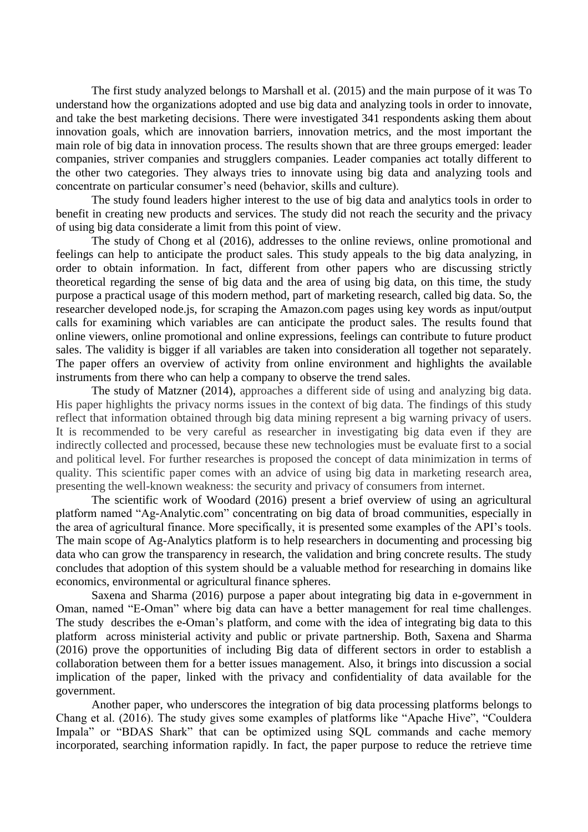The first study analyzed belongs to Marshall et al. (2015) and the main purpose of it was To understand how the organizations adopted and use big data and analyzing tools in order to innovate, and take the best marketing decisions. There were investigated 341 respondents asking them about innovation goals, which are innovation barriers, innovation metrics, and the most important the main role of big data in innovation process. The results shown that are three groups emerged: leader companies, striver companies and strugglers companies. Leader companies act totally different to the other two categories. They always tries to innovate using big data and analyzing tools and concentrate on particular consumer's need (behavior, skills and culture).

The study found leaders higher interest to the use of big data and analytics tools in order to benefit in creating new products and services. The study did not reach the security and the privacy of using big data considerate a limit from this point of view.

The study of Chong et al (2016), addresses to the online reviews, online promotional and feelings can help to anticipate the product sales. This study appeals to the big data analyzing, in order to obtain information. In fact, different from other papers who are discussing strictly theoretical regarding the sense of big data and the area of using big data, on this time, the study purpose a practical usage of this modern method, part of marketing research, called big data. So, the researcher developed node.js, for scraping the Amazon.com pages using key words as input/output calls for examining which variables are can anticipate the product sales. The results found that online viewers, online promotional and online expressions, feelings can contribute to future product sales. The validity is bigger if all variables are taken into consideration all together not separately. The paper offers an overview of activity from online environment and highlights the available instruments from there who can help a company to observe the trend sales.

The study of Matzner (2014), approaches a different side of using and analyzing big data. His paper highlights the privacy norms issues in the context of big data. The findings of this study reflect that information obtained through big data mining represent a big warning privacy of users. It is recommended to be very careful as researcher in investigating big data even if they are indirectly collected and processed, because these new technologies must be evaluate first to a social and political level. For further researches is proposed the concept of data minimization in terms of quality. This scientific paper comes with an advice of using big data in marketing research area, presenting the well-known weakness: the security and privacy of consumers from internet.

The scientific work of Woodard (2016) present a brief overview of using an agricultural platform named "Ag-Analytic.com" concentrating on big data of broad communities, especially in the area of agricultural finance. More specifically, it is presented some examples of the API's tools. The main scope of Ag-Analytics platform is to help researchers in documenting and processing big data who can grow the transparency in research, the validation and bring concrete results. The study concludes that adoption of this system should be a valuable method for researching in domains like economics, environmental or agricultural finance spheres.

Saxena and Sharma (2016) purpose a paper about integrating big data in e-government in Oman, named "E-Oman" where big data can have a better management for real time challenges. The study describes the e-Oman's platform, and come with the idea of integrating big data to this platform across ministerial activity and public or private partnership. Both, Saxena and Sharma (2016) prove the opportunities of including Big data of different sectors in order to establish a collaboration between them for a better issues management. Also, it brings into discussion a social implication of the paper, linked with the privacy and confidentiality of data available for the government.

Another paper, who underscores the integration of big data processing platforms belongs to Chang et al. (2016). The study gives some examples of platforms like "Apache Hive", "Couldera Impala" or "BDAS Shark" that can be optimized using SQL commands and cache memory incorporated, searching information rapidly. In fact, the paper purpose to reduce the retrieve time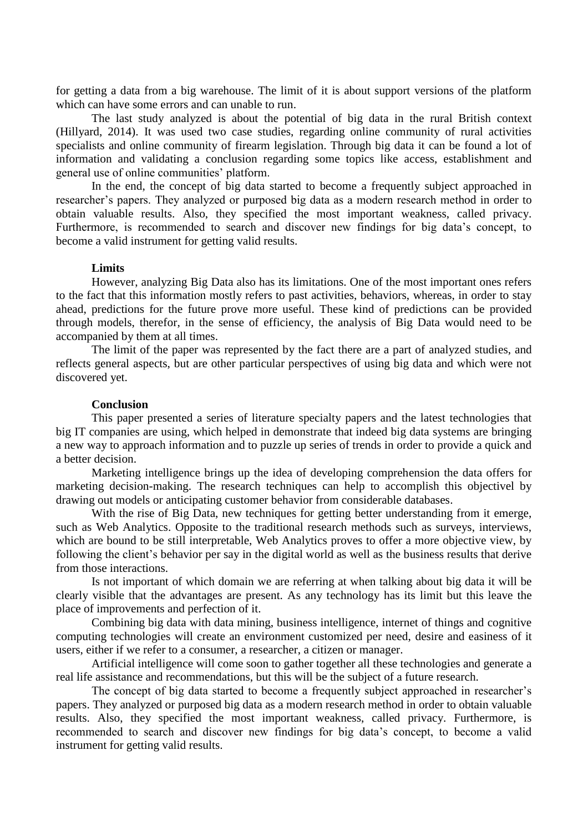for getting a data from a big warehouse. The limit of it is about support versions of the platform which can have some errors and can unable to run.

The last study analyzed is about the potential of big data in the rural British context (Hillyard, 2014). It was used two case studies, regarding online community of rural activities specialists and online community of firearm legislation. Through big data it can be found a lot of information and validating a conclusion regarding some topics like access, establishment and general use of online communities' platform.

In the end, the concept of big data started to become a frequently subject approached in researcher's papers. They analyzed or purposed big data as a modern research method in order to obtain valuable results. Also, they specified the most important weakness, called privacy. Furthermore, is recommended to search and discover new findings for big data's concept, to become a valid instrument for getting valid results.

## **Limits**

However, analyzing Big Data also has its limitations. One of the most important ones refers to the fact that this information mostly refers to past activities, behaviors, whereas, in order to stay ahead, predictions for the future prove more useful. These kind of predictions can be provided through models, therefor, in the sense of efficiency, the analysis of Big Data would need to be accompanied by them at all times.

The limit of the paper was represented by the fact there are a part of analyzed studies, and reflects general aspects, but are other particular perspectives of using big data and which were not discovered yet.

## **Conclusion**

This paper presented a series of literature specialty papers and the latest technologies that big IT companies are using, which helped in demonstrate that indeed big data systems are bringing a new way to approach information and to puzzle up series of trends in order to provide a quick and a better decision.

Marketing intelligence brings up the idea of developing comprehension the data offers for marketing decision-making. The research techniques can help to accomplish this objectivel by drawing out models or anticipating customer behavior from considerable databases.

With the rise of Big Data, new techniques for getting better understanding from it emerge, such as Web Analytics. Opposite to the traditional research methods such as surveys, interviews, which are bound to be still interpretable, Web Analytics proves to offer a more objective view, by following the client's behavior per say in the digital world as well as the business results that derive from those interactions.

Is not important of which domain we are referring at when talking about big data it will be clearly visible that the advantages are present. As any technology has its limit but this leave the place of improvements and perfection of it.

Combining big data with data mining, business intelligence, internet of things and cognitive computing technologies will create an environment customized per need, desire and easiness of it users, either if we refer to a consumer, a researcher, a citizen or manager.

Artificial intelligence will come soon to gather together all these technologies and generate a real life assistance and recommendations, but this will be the subject of a future research.

The concept of big data started to become a frequently subject approached in researcher's papers. They analyzed or purposed big data as a modern research method in order to obtain valuable results. Also, they specified the most important weakness, called privacy. Furthermore, is recommended to search and discover new findings for big data's concept, to become a valid instrument for getting valid results.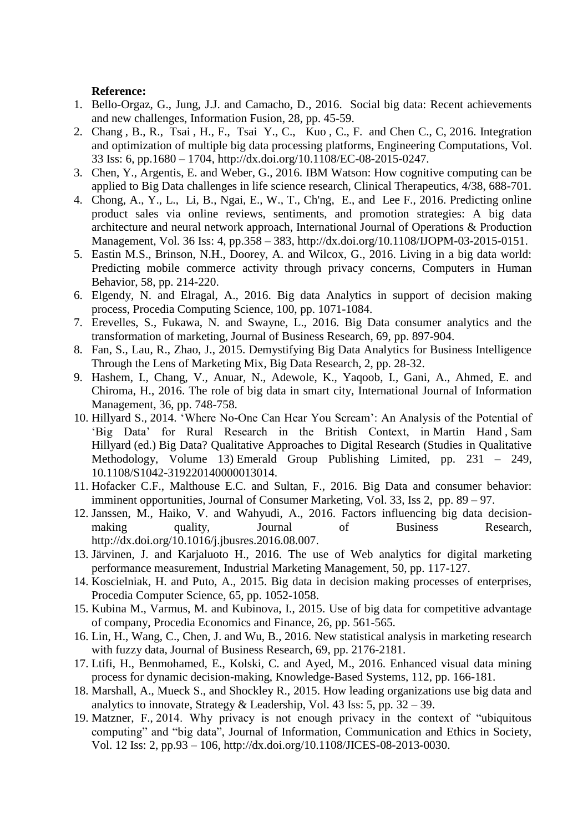## **Reference:**

- 1. Bello-Orgaz, G., Jung, J.J. and Camacho, D., 2016. Social big data: Recent achievements and new challenges, Information Fusion, 28, pp. 45-59.
- 2. [Chang](http://www.emeraldinsight.com/author/Chang%2C+Bao-Rong) , B., R., [Tsai](http://www.emeraldinsight.com/author/Tsai%2C+Hsiu-Fen) , H., F., [Tsai](http://www.emeraldinsight.com/author/Tsai%2C+Yun-Che) Y., C., [Kuo](http://www.emeraldinsight.com/author/Kuo%2C+Chin-Fu) , C., F. [and Chen C., C,](http://www.emeraldinsight.com/author/Chen%2C+Chi-Chung) 2016. Integration and optimization of multiple big data processing platforms, Engineering Computations, Vol. 33 Iss: 6, pp.1680 – 1704, [http://dx.doi.org/10.1108/EC-08-2015-0247.](http://dx.doi.org/10.1108/EC-08-2015-0247)
- 3. Chen, Y., Argentis, E. and Weber, G., 2016. IBM Watson: How cognitive computing can be applied to Big Data challenges in life science research, Clinical Therapeutics, 4/38, 688-701.
- 4. Chong, A., Y., L., Li, B., Ngai, E., W., T., Ch'ng, E., and Lee F., 2016. Predicting online product sales via online reviews, sentiments, and promotion strategies: A big data architecture and neural network approach, International Journal of Operations & Production Management, Vol. 36 Iss: 4, pp.358 – 383, http://dx.doi.org/10.1108/IJOPM-03-2015-0151.
- 5. Eastin M.S., Brinson, N.H., Doorey, A. and Wilcox, G., 2016. Living in a big data world: Predicting mobile commerce activity through privacy concerns, Computers in Human Behavior, 58, pp. 214-220.
- 6. Elgendy, N. and Elragal, A., 2016. Big data Analytics in support of decision making process, Procedia Computing Science, 100, pp. 1071-1084.
- 7. Erevelles, S., Fukawa, N. and Swayne, L., 2016. Big Data consumer analytics and the transformation of marketing, Journal of Business Research, 69, pp. 897-904.
- 8. Fan, S., Lau, R., Zhao, J., 2015. Demystifying Big Data Analytics for Business Intelligence Through the Lens of Marketing Mix, Big Data Research, 2, pp. 28-32.
- 9. Hashem, I., Chang, V., Anuar, N., Adewole, K., Yaqoob, I., Gani, A., Ahmed, E. and Chiroma, H., 2016. The role of big data in smart city, International Journal of Information Management, 36, pp. 748-758.
- 10. [Hillyard S.,](http://www.emeraldinsight.com/author/Hillyard%2C+Sam) 2014. 'Where No-One Can Hear You Scream': An Analysis of the Potential of 'Big Data' for Rural Research in the British Context, in Martin Hand , Sam Hillyard (ed.) Big Data? Qualitative Approaches to Digital Research (Studies in Qualitative Methodology, Volume 13) Emerald Group Publishing Limited, pp. 231 – 249, [10.1108/S1042-319220140000013014.](http://dx.doi.org/10.1108/S1042-319220140000013014)
- 11. Hofacker C.F., Malthouse E.C. and Sultan, F., 2016. Big Data and consumer behavior: imminent opportunities, Journal of Consumer Marketing, Vol. 33, Iss 2, pp. 89 – 97.
- 12. Janssen, M., Haiko, V. and Wahyudi, A., 2016. Factors influencing big data decisionmaking quality, Journal of Business Research, [http://dx.doi.org/10.1016/j.jbusres.2016.08.007.](http://dx.doi.org/10.1016/j.jbusres.2016.08.007)
- 13. Järvinen, J. and Karjaluoto H., 2016. The use of Web analytics for digital marketing performance measurement, Industrial Marketing Management, 50, pp. 117-127.
- 14. Koscielniak, H. and Puto, A., 2015. Big data in decision making processes of enterprises, Procedia Computer Science, 65, pp. 1052-1058.
- 15. Kubina M., Varmus, M. and Kubinova, I., 2015. Use of big data for competitive advantage of company, Procedia Economics and Finance, 26, pp. 561-565.
- 16. Lin, H., Wang, C., Chen, J. and Wu, B., 2016. New statistical analysis in marketing research with fuzzy data, Journal of Business Research, 69, pp. 2176-2181.
- 17. Ltifi, H., Benmohamed, E., Kolski, C. and Ayed, M., 2016. Enhanced visual data mining process for dynamic decision-making, Knowledge-Based Systems, 112, pp. 166-181.
- 18. Marshall, A., Mueck S., and Shockley R., 2015. How leading organizations use big data and analytics to innovate, Strategy & Leadership, Vol. 43 Iss: 5, pp.  $32 - 39$ .
- 19. [Matzner, F.,](http://www.emeraldinsight.com/author/Matzner%2C+Tobias) 2014. Why privacy is not enough privacy in the context of "ubiquitous computing" and "big data", Journal of Information, Communication and Ethics in Society, Vol. 12 Iss: 2, pp.93 – 106, [http://dx.doi.org/10.1108/JICES-08-2013-0030.](http://dx.doi.org/10.1108/JICES-08-2013-0030)